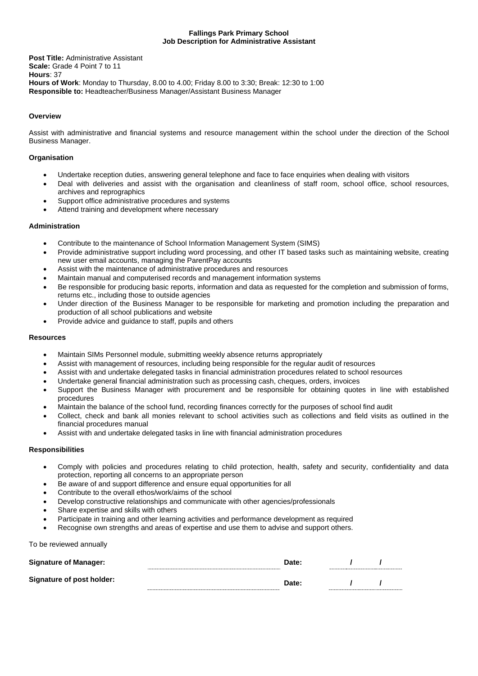### **Fallings Park Primary School Job Description for Administrative Assistant**

**Post Title:** Administrative Assistant **Scale:** Grade 4 Point 7 to 11 **Hours**: 37 **Hours of Work**: Monday to Thursday, 8.00 to 4.00; Friday 8.00 to 3:30; Break: 12:30 to 1:00 **Responsible to:** Headteacher/Business Manager/Assistant Business Manager

# **Overview**

Assist with administrative and financial systems and resource management within the school under the direction of the School Business Manager.

## **Organisation**

- Undertake reception duties, answering general telephone and face to face enquiries when dealing with visitors
- Deal with deliveries and assist with the organisation and cleanliness of staff room, school office, school resources, archives and reprographics
- Support office administrative procedures and systems
- Attend training and development where necessary

## **Administration**

- Contribute to the maintenance of School Information Management System (SIMS)
- Provide administrative support including word processing, and other IT based tasks such as maintaining website, creating new user email accounts, managing the ParentPay accounts
- Assist with the maintenance of administrative procedures and resources
- Maintain manual and computerised records and management information systems
- Be responsible for producing basic reports, information and data as requested for the completion and submission of forms, returns etc., including those to outside agencies
- Under direction of the Business Manager to be responsible for marketing and promotion including the preparation and production of all school publications and website
- Provide advice and guidance to staff, pupils and others

#### **Resources**

- Maintain SIMs Personnel module, submitting weekly absence returns appropriately
- Assist with management of resources, including being responsible for the regular audit of resources
- Assist with and undertake delegated tasks in financial administration procedures related to school resources
- Undertake general financial administration such as processing cash, cheques, orders, invoices
- Support the Business Manager with procurement and be responsible for obtaining quotes in line with established procedures
- Maintain the balance of the school fund, recording finances correctly for the purposes of school find audit
- Collect, check and bank all monies relevant to school activities such as collections and field visits as outlined in the financial procedures manual
- Assist with and undertake delegated tasks in line with financial administration procedures

### **Responsibilities**

- Comply with policies and procedures relating to child protection, health, safety and security, confidentiality and data protection, reporting all concerns to an appropriate person
- Be aware of and support difference and ensure equal opportunities for all
- Contribute to the overall ethos/work/aims of the school
- Develop constructive relationships and communicate with other agencies/professionals
- Share expertise and skills with others
- Participate in training and other learning activities and performance development as required
- Recognise own strengths and areas of expertise and use them to advise and support others.

To be reviewed annually

| <b>Signature of Manager:</b> | Date: |  |  |
|------------------------------|-------|--|--|
| Signature of post holder:    | Date: |  |  |
|                              |       |  |  |